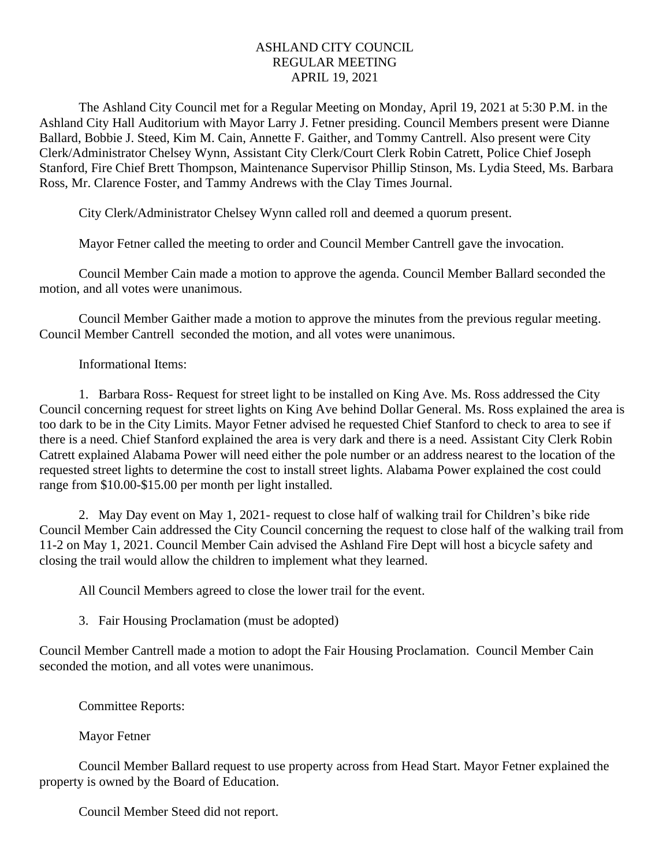## ASHLAND CITY COUNCIL REGULAR MEETING APRIL 19, 2021

The Ashland City Council met for a Regular Meeting on Monday, April 19, 2021 at 5:30 P.M. in the Ashland City Hall Auditorium with Mayor Larry J. Fetner presiding. Council Members present were Dianne Ballard, Bobbie J. Steed, Kim M. Cain, Annette F. Gaither, and Tommy Cantrell. Also present were City Clerk/Administrator Chelsey Wynn, Assistant City Clerk/Court Clerk Robin Catrett, Police Chief Joseph Stanford, Fire Chief Brett Thompson, Maintenance Supervisor Phillip Stinson, Ms. Lydia Steed, Ms. Barbara Ross, Mr. Clarence Foster, and Tammy Andrews with the Clay Times Journal.

City Clerk/Administrator Chelsey Wynn called roll and deemed a quorum present.

Mayor Fetner called the meeting to order and Council Member Cantrell gave the invocation.

Council Member Cain made a motion to approve the agenda. Council Member Ballard seconded the motion, and all votes were unanimous.

Council Member Gaither made a motion to approve the minutes from the previous regular meeting. Council Member Cantrell seconded the motion, and all votes were unanimous.

Informational Items:

1. Barbara Ross- Request for street light to be installed on King Ave. Ms. Ross addressed the City Council concerning request for street lights on King Ave behind Dollar General. Ms. Ross explained the area is too dark to be in the City Limits. Mayor Fetner advised he requested Chief Stanford to check to area to see if there is a need. Chief Stanford explained the area is very dark and there is a need. Assistant City Clerk Robin Catrett explained Alabama Power will need either the pole number or an address nearest to the location of the requested street lights to determine the cost to install street lights. Alabama Power explained the cost could range from \$10.00-\$15.00 per month per light installed.

2. May Day event on May 1, 2021- request to close half of walking trail for Children's bike ride Council Member Cain addressed the City Council concerning the request to close half of the walking trail from 11-2 on May 1, 2021. Council Member Cain advised the Ashland Fire Dept will host a bicycle safety and closing the trail would allow the children to implement what they learned.

All Council Members agreed to close the lower trail for the event.

3. Fair Housing Proclamation (must be adopted)

Council Member Cantrell made a motion to adopt the Fair Housing Proclamation. Council Member Cain seconded the motion, and all votes were unanimous.

Committee Reports:

Mayor Fetner

Council Member Ballard request to use property across from Head Start. Mayor Fetner explained the property is owned by the Board of Education.

Council Member Steed did not report.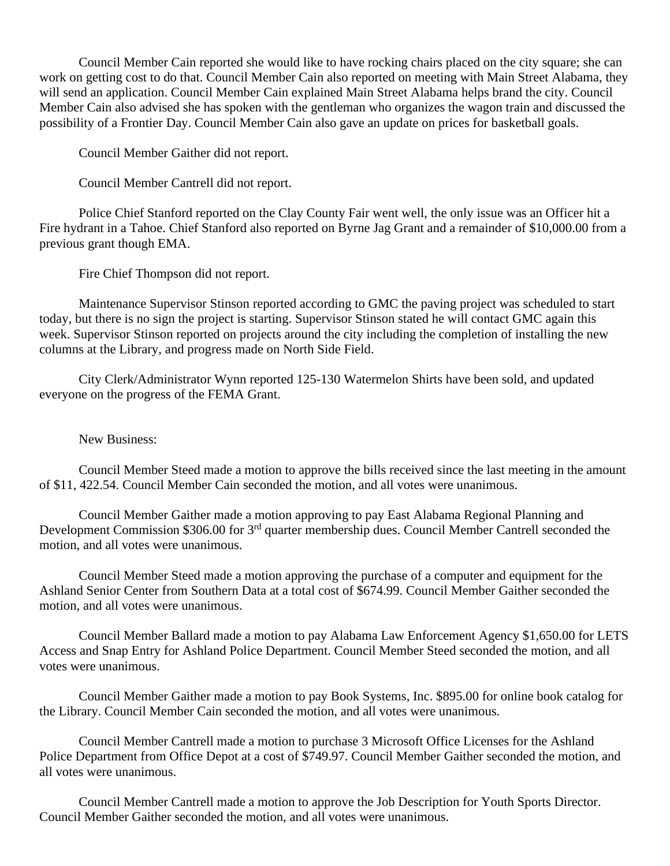Council Member Cain reported she would like to have rocking chairs placed on the city square; she can work on getting cost to do that. Council Member Cain also reported on meeting with Main Street Alabama, they will send an application. Council Member Cain explained Main Street Alabama helps brand the city. Council Member Cain also advised she has spoken with the gentleman who organizes the wagon train and discussed the possibility of a Frontier Day. Council Member Cain also gave an update on prices for basketball goals.

Council Member Gaither did not report.

Council Member Cantrell did not report.

Police Chief Stanford reported on the Clay County Fair went well, the only issue was an Officer hit a Fire hydrant in a Tahoe. Chief Stanford also reported on Byrne Jag Grant and a remainder of \$10,000.00 from a previous grant though EMA.

Fire Chief Thompson did not report.

Maintenance Supervisor Stinson reported according to GMC the paving project was scheduled to start today, but there is no sign the project is starting. Supervisor Stinson stated he will contact GMC again this week. Supervisor Stinson reported on projects around the city including the completion of installing the new columns at the Library, and progress made on North Side Field.

City Clerk/Administrator Wynn reported 125-130 Watermelon Shirts have been sold, and updated everyone on the progress of the FEMA Grant.

New Business:

Council Member Steed made a motion to approve the bills received since the last meeting in the amount of \$11, 422.54. Council Member Cain seconded the motion, and all votes were unanimous.

Council Member Gaither made a motion approving to pay East Alabama Regional Planning and Development Commission \$306.00 for 3<sup>rd</sup> quarter membership dues. Council Member Cantrell seconded the motion, and all votes were unanimous.

Council Member Steed made a motion approving the purchase of a computer and equipment for the Ashland Senior Center from Southern Data at a total cost of \$674.99. Council Member Gaither seconded the motion, and all votes were unanimous.

Council Member Ballard made a motion to pay Alabama Law Enforcement Agency \$1,650.00 for LETS Access and Snap Entry for Ashland Police Department. Council Member Steed seconded the motion, and all votes were unanimous.

Council Member Gaither made a motion to pay Book Systems, Inc. \$895.00 for online book catalog for the Library. Council Member Cain seconded the motion, and all votes were unanimous.

Council Member Cantrell made a motion to purchase 3 Microsoft Office Licenses for the Ashland Police Department from Office Depot at a cost of \$749.97. Council Member Gaither seconded the motion, and all votes were unanimous.

Council Member Cantrell made a motion to approve the Job Description for Youth Sports Director. Council Member Gaither seconded the motion, and all votes were unanimous.